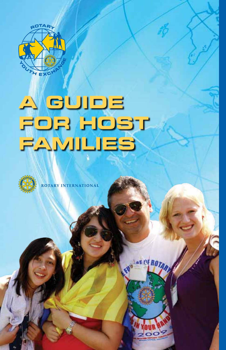

# **A GUIDE FOR HOST FAMILIES**



**ROTARY INTERNATIONAL** 



at Ni ROZ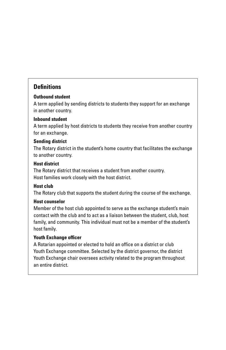#### **Definitions**

#### **Outbound student**

A term applied by sending districts to students they support for an exchange in another country.

#### **Inbound student**

A term applied by host districts to students they receive from another country for an exchange.

#### **Sending district**

The Rotary district in the student's home country that facilitates the exchange to another country.

#### **Host district**

The Rotary district that receives a student from another country. Host families work closely with the host district.

#### **Host club**

The Rotary club that supports the student during the course of the exchange.

#### **Host counselor**

Member of the host club appointed to serve as the exchange student's main contact with the club and to act as a liaison between the student, club, host family, and community. This individual must not be a member of the student's host family.

#### **Youth Exchange officer**

A Rotarian appointed or elected to hold an office on a district or club Youth Exchange committee. Selected by the district governor, the district Youth Exchange chair oversees activity related to the program throughout an entire district.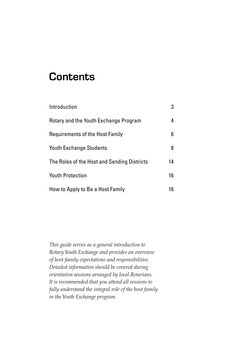# **Contents**

| Introduction                                | 3  |
|---------------------------------------------|----|
| Rotary and the Youth Exchange Program       | 4  |
| Requirements of the Host Family             | 6. |
| <b>Youth Exchange Students</b>              | 8  |
| The Roles of the Host and Sending Districts | 14 |
| <b>Youth Protection</b>                     | 16 |
| How to Apply to Be a Host Family            | 16 |

*This guide serves as a general introduction to Rotary Youth Exchange and provides an overview of host family expectations and responsibilities. Detailed information should be covered during orientation sessions arranged by local Rotarians. It is recommended that you attend all sessions to fully understand the integral role of the host family in the Youth Exchange program.*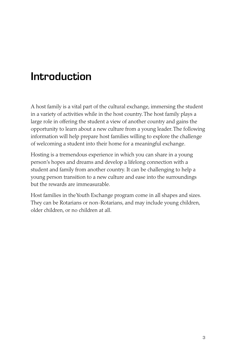# Introduction

A host family is a vital part of the cultural exchange, immersing the student in a variety of activities while in the host country. The host family plays a large role in offering the student a view of another country and gains the opportunity to learn about a new culture from a young leader. The following information will help prepare host families willing to explore the challenge of welcoming a student into their home for a meaningful exchange.

Hosting is a tremendous experience in which you can share in a young person's hopes and dreams and develop a lifelong connection with a student and family from another country. It can be challenging to help a young person transition to a new culture and ease into the surroundings but the rewards are immeasurable.

Host families in the Youth Exchange program come in all shapes and sizes. They can be Rotarians or non-Rotarians, and may include young children, older children, or no children at all.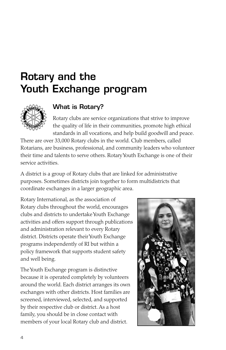# Rotary and the Youth Exchange program



### What is Rotary?

Rotary clubs are service organizations that strive to improve the quality of life in their communities, promote high ethical standards in all vocations, and help build goodwill and peace.

There are over 33,000 Rotary clubs in the world. Club members, called Rotarians, are business, professional, and community leaders who volunteer their time and talents to serve others. Rotary Youth Exchange is one of their service activities.

A district is a group of Rotary clubs that are linked for administrative purposes. Sometimes districts join together to form multidistricts that coordinate exchanges in a larger geographic area.

Rotary International, as the association of Rotary clubs throughout the world, encourages clubs and districts to undertake Youth Exchange activities and offers support through publications and administration relevant to every Rotary district. Districts operate their Youth Exchange programs independently of RI but within a policy framework that supports student safety and well being.

The Youth Exchange program is distinctive because it is operated completely by volunteers around the world. Each district arranges its own exchanges with other districts. Host families are screened, interviewed, selected, and supported by their respective club or district. As a host family, you should be in close contact with members of your local Rotary club and district.

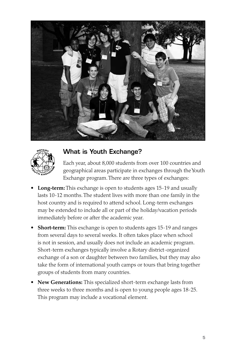



### What is Youth Exchange?

Each year, about 8,000 students from over 100 countries and geographical areas participate in exchanges through the Youth Exchange program. There are three types of exchanges:

- **Long-term:** This exchange is open to students ages 15-19 and usually lasts 10-12 months. The student lives with more than one family in the host country and is required to attend school. Long-term exchanges may be extended to include all or part of the holiday/vacation periods immediately before or after the academic year.
- **Short-term:** This exchange is open to students ages 15-19 and ranges from several days to several weeks. It often takes place when school is not in session, and usually does not include an academic program. Short-term exchanges typically involve a Rotary district-organized exchange of a son or daughter between two families, but they may also take the form of international youth camps or tours that bring together groups of students from many countries.
- **New Generations:** This specialized short-term exchange lasts from three weeks to three months and is open to young people ages 18-25. This program may include a vocational element.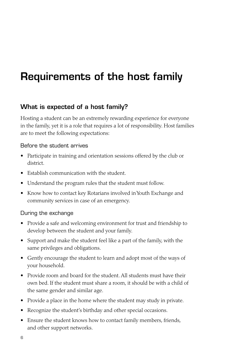# Requirements of the host family

### What is expected of a host family?

Hosting a student can be an extremely rewarding experience for everyone in the family, yet it is a role that requires a lot of responsibility. Host families are to meet the following expectations:

#### Before the student arrives

- Participate in training and orientation sessions offered by the club or district.
- Establish communication with the student.
- Understand the program rules that the student must follow.
- Know how to contact key Rotarians involved in Youth Exchange and community services in case of an emergency.

#### During the exchange

- Provide a safe and welcoming environment for trust and friendship to develop between the student and your family.
- Support and make the student feel like a part of the family, with the same privileges and obligations.
- Gently encourage the student to learn and adopt most of the ways of your household.
- Provide room and board for the student. All students must have their own bed. If the student must share a room, it should be with a child of the same gender and similar age.
- Provide a place in the home where the student may study in private.
- Recognize the student's birthday and other special occasions.
- Ensure the student knows how to contact family members, friends, and other support networks.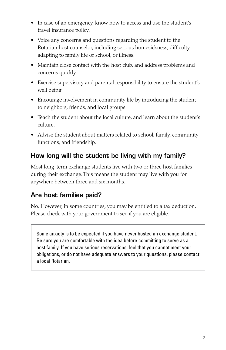- In case of an emergency, know how to access and use the student's travel insurance policy.
- Voice any concerns and questions regarding the student to the Rotarian host counselor, including serious homesickness, difficulty adapting to family life or school, or illness.
- Maintain close contact with the host club, and address problems and concerns quickly.
- Exercise supervisory and parental responsibility to ensure the student's well being.
- Encourage involvement in community life by introducing the student to neighbors, friends, and local groups.
- Teach the student about the local culture, and learn about the student's culture.
- Advise the student about matters related to school, family, community functions, and friendship.

# How long will the student be living with my family?

Most long-term exchange students live with two or three host families during their exchange. This means the student may live with you for anywhere between three and six months.

# Are host families paid?

No. However, in some countries, you may be entitled to a tax deduction. Please check with your government to see if you are eligible.

Some anxiety is to be expected if you have never hosted an exchange student. Be sure you are comfortable with the idea before committing to serve as a host family. If you have serious reservations, feel that you cannot meet your obligations, or do not have adequate answers to your questions, please contact a local Rotarian.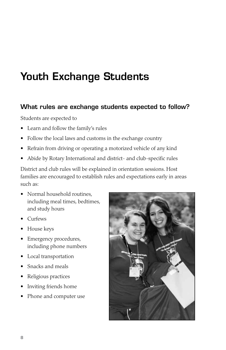# Youth Exchange Students

#### What rules are exchange students expected to follow?

Students are expected to

- • Learn and follow the family's rules
- Follow the local laws and customs in the exchange country
- Refrain from driving or operating a motorized vehicle of any kind
- Abide by Rotary International and district- and club-specific rules

District and club rules will be explained in orientation sessions. Host families are encouraged to establish rules and expectations early in areas such as:

- Normal household routines, including meal times, bedtimes, and study hours
- Curfews
- House keys
- Emergency procedures, including phone numbers
- Local transportation
- Snacks and meals
- • Religious practices
- Inviting friends home
- Phone and computer use

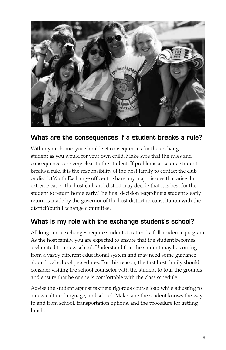

### What are the consequences if a student breaks a rule?

Within your home, you should set consequences for the exchange student as you would for your own child. Make sure that the rules and consequences are very clear to the student. If problems arise or a student breaks a rule, it is the responsibility of the host family to contact the club or district Youth Exchange officer to share any major issues that arise. In extreme cases, the host club and district may decide that it is best for the student to return home early. The final decision regarding a student's early return is made by the governor of the host district in consultation with the district Youth Exchange committee.

### What is my role with the exchange student's school?

All long-term exchanges require students to attend a full academic program. As the host family, you are expected to ensure that the student becomes acclimated to a new school. Understand that the student may be coming from a vastly different educational system and may need some guidance about local school procedures. For this reason, the first host family should consider visiting the school counselor with the student to tour the grounds and ensure that he or she is comfortable with the class schedule.

Advise the student against taking a rigorous course load while adjusting to a new culture, language, and school. Make sure the student knows the way to and from school, transportation options, and the procedure for getting lunch.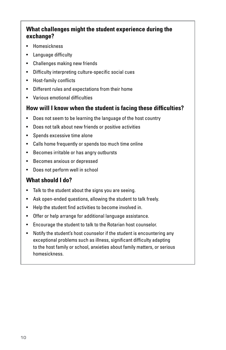#### **What challenges might the student experience during the exchange?**

- • Homesickness
- • Language difficulty
- • Challenges making new friends
- • Difficulty interpreting culture-specific social cues
- • Host-family conflicts
- • Different rules and expectations from their home
- • Various emotional difficulties

#### **How will I know when the student is facing these difficulties?**

- • Does not seem to be learning the language of the host country
- • Does not talk about new friends or positive activities
- Spends excessive time alone
- • Calls home frequently or spends too much time online
- • Becomes irritable or has angry outbursts
- • Becomes anxious or depressed
- Does not perform well in school

### **What should I do?**

- Talk to the student about the signs you are seeing.
- Ask open-ended questions, allowing the student to talk freely.
- Help the student find activities to become involved in.
- Offer or help arrange for additional language assistance.
- • Encourage the student to talk to the Rotarian host counselor.
- Notify the student's host counselor if the student is encountering any exceptional problems such as illness, significant difficulty adapting to the host family or school, anxieties about family matters, or serious homesickness.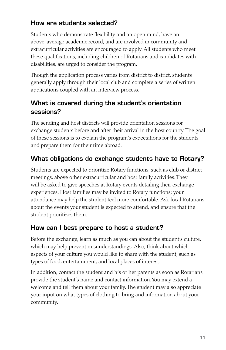### How are students selected?

Students who demonstrate flexibility and an open mind, have an above-average academic record, and are involved in community and extracurricular activities are encouraged to apply. All students who meet these qualifications, including children of Rotarians and candidates with disabilities, are urged to consider the program.

Though the application process varies from district to district, students generally apply through their local club and complete a series of written applications coupled with an interview process.

# What is covered during the student's orientation sessions?

The sending and host districts will provide orientation sessions for exchange students before and after their arrival in the host country. The goal of these sessions is to explain the program's expectations for the students and prepare them for their time abroad.

# What obligations do exchange students have to Rotary?

Students are expected to prioritize Rotary functions, such as club or district meetings, above other extracurricular and host family activities. They will be asked to give speeches at Rotary events detailing their exchange experiences. Host families may be invited to Rotary functions; your attendance may help the student feel more comfortable. Ask local Rotarians about the events your student is expected to attend, and ensure that the student prioritizes them.

### How can I best prepare to host a student?

Before the exchange, learn as much as you can about the student's culture, which may help prevent misunderstandings. Also, think about which aspects of your culture you would like to share with the student, such as types of food, entertainment, and local places of interest.

In addition, contact the student and his or her parents as soon as Rotarians provide the student's name and contact information. You may extend a welcome and tell them about your family. The student may also appreciate your input on what types of clothing to bring and information about your community.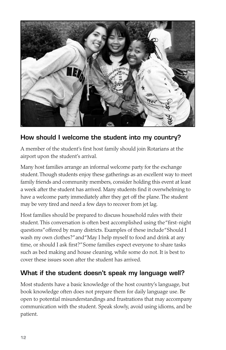

### How should I welcome the student into my country?

A member of the student's first host family should join Rotarians at the airport upon the student's arrival.

Many host families arrange an informal welcome party for the exchange student. Though students enjoy these gatherings as an excellent way to meet family friends and community members, consider holding this event at least a week after the student has arrived. Many students find it overwhelming to have a welcome party immediately after they get off the plane. The student may be very tired and need a few days to recover from jet lag.

Host families should be prepared to discuss household rules with their student. This conversation is often best accomplished using the "first-night questions" offered by many districts. Examples of these include "Should I wash my own clothes?"and"May I help myself to food and drink at any time, or should I ask first?" Some families expect everyone to share tasks such as bed making and house cleaning, while some do not. It is best to cover these issues soon after the student has arrived.

### What if the student doesn't speak my language well?

Most students have a basic knowledge of the host country's language, but book knowledge often does not prepare them for daily language use. Be open to potential misunderstandings and frustrations that may accompany communication with the student. Speak slowly, avoid using idioms, and be patient.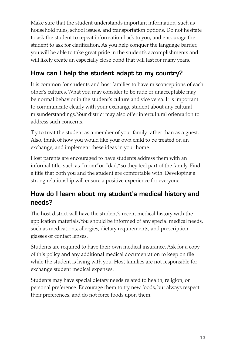Make sure that the student understands important information, such as household rules, school issues, and transportation options. Do not hesitate to ask the student to repeat information back to you, and encourage the student to ask for clarification. As you help conquer the language barrier, you will be able to take great pride in the student's accomplishments and will likely create an especially close bond that will last for many years.

# How can I help the student adapt to my country?

It is common for students and host families to have misconceptions of each other's cultures. What you may consider to be rude or unacceptable may be normal behavior in the student's culture and vice versa. It is important to communicate clearly with your exchange student about any cultural misunderstandings. Your district may also offer intercultural orientation to address such concerns.

Try to treat the student as a member of your family rather than as a guest. Also, think of how you would like your own child to be treated on an exchange, and implement these ideas in your home.

Host parents are encouraged to have students address them with an informal title, such as "mom"or "dad,"so they feel part of the family. Find a title that both you and the student are comfortable with. Developing a strong relationship will ensure a positive experience for everyone.

# How do I learn about my student's medical history and needs?

The host district will have the student's recent medical history with the application materials. You should be informed of any special medical needs, such as medications, allergies, dietary requirements, and prescription glasses or contact lenses.

Students are required to have their own medical insurance. Ask for a copy of this policy and any additional medical documentation to keep on file while the student is living with you. Host families are not responsible for exchange student medical expenses.

Students may have special dietary needs related to health, religion, or personal preference. Encourage them to try new foods, but always respect their preferences, and do not force foods upon them.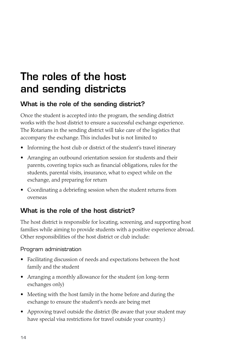# The roles of the host and sending districts

### What is the role of the sending district?

Once the student is accepted into the program, the sending district works with the host district to ensure a successful exchange experience. The Rotarians in the sending district will take care of the logistics that accompany the exchange. This includes but is not limited to

- Informing the host club or district of the student's travel itinerary
- Arranging an outbound orientation session for students and their parents, covering topics such as financial obligations, rules for the students, parental visits, insurance, what to expect while on the exchange, and preparing for return
- • Coordinating a debriefing session when the student returns from overseas

### What is the role of the host district?

The host district is responsible for locating, screening, and supporting host families while aiming to provide students with a positive experience abroad. Other responsibilities of the host district or club include:

#### Program administration

- Facilitating discussion of needs and expectations between the host family and the student
- • Arranging a monthly allowance for the student (on long-term exchanges only)
- Meeting with the host family in the home before and during the exchange to ensure the student's needs are being met
- Approving travel outside the district (Be aware that your student may have special visa restrictions for travel outside your country.)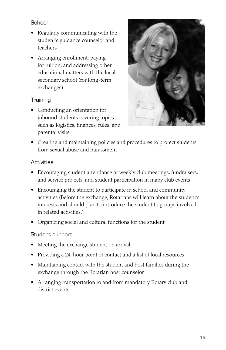#### School

- Regularly communicating with the student's guidance counselor and teachers
- • Arranging enrollment, paying for tuition, and addressing other educational matters with the local secondary school (for long-term exchanges)

#### **Training**

• Conducting an orientation for inbound students covering topics such as logistics, finances, rules, and parental visits



• Creating and maintaining policies and procedures to protect students from sexual abuse and harassment

#### **Activities**

- Encouraging student attendance at weekly club meetings, fundraisers, and service projects, and student participation in many club events
- Encouraging the student to participate in school and community activities (Before the exchange, Rotarians will learn about the student's interests and should plan to introduce the student to groups involved in related activities.)
- • Organizing social and cultural functions for the student

#### Student support

- Meeting the exchange student on arrival
- Providing a 24-hour point of contact and a list of local resources
- Maintaining contact with the student and host families during the exchange through the Rotarian host counselor
- Arranging transportation to and from mandatory Rotary club and district events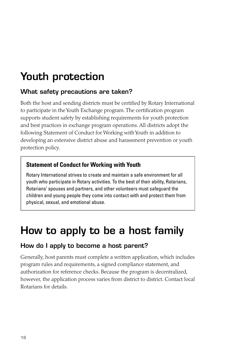# Youth protection

#### What safety precautions are taken?

Both the host and sending districts must be certified by Rotary International to participate in the Youth Exchange program. The certification program supports student safety by establishing requirements for youth protection and best practices in exchange program operations. All districts adopt the following Statement of Conduct for Working with Youth in addition to developing an extensive district abuse and harassment prevention or youth protection policy.

### **Statement of Conduct for Working with Youth**

Rotary International strives to create and maintain a safe environment for all youth who participate in Rotary activities. To the best of their ability, Rotarians, Rotarians' spouses and partners, and other volunteers must safeguard the children and young people they come into contact with and protect them from physical, sexual, and emotional abuse.

# How to apply to be a host family

### How do I apply to become a host parent?

Generally, host parents must complete a written application, which includes program rules and requirements, a signed compliance statement, and authorization for reference checks. Because the program is decentralized, however, the application process varies from district to district. Contact local Rotarians for details.